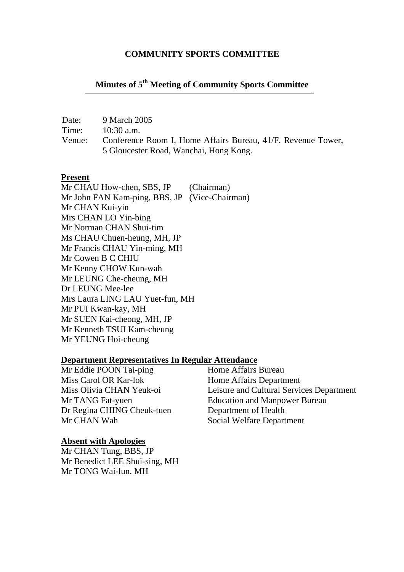#### **COMMUNITY SPORTS COMMITTEE**

# **Minutes of 5th Meeting of Community Sports Committee**

Date: 9 March 2005 Time: 10:30 a.m.

Venue: Conference Room I, Home Affairs Bureau, 41/F, Revenue Tower, 5 Gloucester Road, Wanchai, Hong Kong.

#### **Present**

Mr CHAU How-chen, SBS, JP (Chairman) Mr John FAN Kam-ping, BBS, JP (Vice-Chairman) Mr CHAN Kui-yin Mrs CHAN LO Yin-bing Mr Norman CHAN Shui-tim Ms CHAU Chuen-heung, MH, JP Mr Francis CHAU Yin-ming, MH Mr Cowen B C CHIU Mr Kenny CHOW Kun-wah Mr LEUNG Che-cheung, MH Dr LEUNG Mee-lee Mrs Laura LING LAU Yuet-fun, MH Mr PUI Kwan-kay, MH Mr SUEN Kai-cheong, MH, JP Mr Kenneth TSUI Kam-cheung Mr YEUNG Hoi-cheung

# **Department Representatives In Regular Attendance**

Mr Eddie POON Tai-ping Miss Carol OR Kar-lok Home Affairs Department Dr Regina CHING Cheuk-tuen Department of Health Mr CHAN Wah Social Welfare Department

**Absent with Apologies**

Mr CHAN Tung, BBS, JP Mr Benedict LEE Shui-sing, MH Mr TONG Wai-lun, MH

Miss Olivia CHAN Yeuk-oi Leisure and Cultural Services Department Mr TANG Fat-yuen Education and Manpower Bureau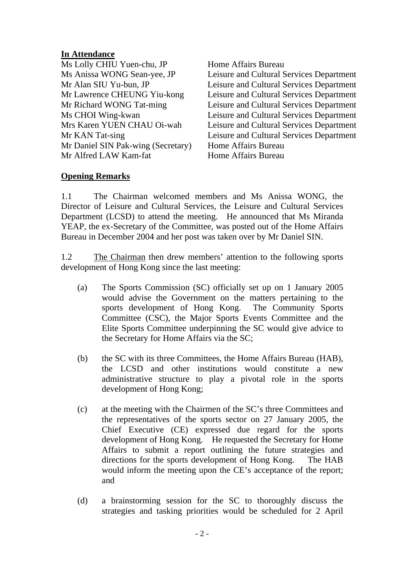## **In Attendance**

Ms Lolly CHIU Yuen-chu, JP Home Affairs Bureau Mr Daniel SIN Pak-wing (Secretary) Home Affairs Bureau Mr Alfred LAW Kam-fat Home Affairs Bureau

Ms Anissa WONG Sean-yee, JP Leisure and Cultural Services Department Mr Alan SIU Yu-bun, JP Leisure and Cultural Services Department Mr Lawrence CHEUNG Yiu-kong Leisure and Cultural Services Department Mr Richard WONG Tat-ming Leisure and Cultural Services Department Ms CHOI Wing-kwan Leisure and Cultural Services Department Mrs Karen YUEN CHAU Oi-wah Leisure and Cultural Services Department Mr KAN Tat-sing Leisure and Cultural Services Department

### **Opening Remarks**

1.1 The Chairman welcomed members and Ms Anissa WONG, the Director of Leisure and Cultural Services, the Leisure and Cultural Services Department (LCSD) to attend the meeting. He announced that Ms Miranda YEAP, the ex-Secretary of the Committee, was posted out of the Home Affairs Bureau in December 2004 and her post was taken over by Mr Daniel SIN.

1.2 The Chairman then drew members' attention to the following sports development of Hong Kong since the last meeting:

- (a) The Sports Commission (SC) officially set up on 1 January 2005 would advise the Government on the matters pertaining to the sports development of Hong Kong. The Community Sports Committee (CSC), the Major Sports Events Committee and the Elite Sports Committee underpinning the SC would give advice to the Secretary for Home Affairs via the SC;
- (b) the SC with its three Committees, the Home Affairs Bureau (HAB), the LCSD and other institutions would constitute a new administrative structure to play a pivotal role in the sports development of Hong Kong;
- (c) at the meeting with the Chairmen of the SC's three Committees and the representatives of the sports sector on 27 January 2005, the Chief Executive (CE) expressed due regard for the sports development of Hong Kong. He requested the Secretary for Home Affairs to submit a report outlining the future strategies and directions for the sports development of Hong Kong. The HAB would inform the meeting upon the CE's acceptance of the report; and
- (d) a brainstorming session for the SC to thoroughly discuss the strategies and tasking priorities would be scheduled for 2 April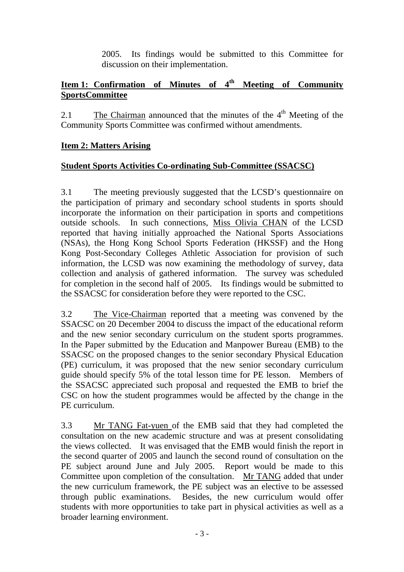2005. Its findings would be submitted to this Committee for discussion on their implementation.

# **Item 1: Confirmation of Minutes of 4th Meeting of Community SportsCommittee**

2.1 The Chairman announced that the minutes of the  $4<sup>th</sup>$  Meeting of the Community Sports Committee was confirmed without amendments.

## **Item 2: Matters Arising**

## **Student Sports Activities Co-ordinating Sub-Committee (SSACSC)**

3.1 The meeting previously suggested that the LCSD's questionnaire on the participation of primary and secondary school students in sports should incorporate the information on their participation in sports and competitions outside schools. In such connections, Miss Olivia CHAN of the LCSD reported that having initially approached the National Sports Associations (NSAs), the Hong Kong School Sports Federation (HKSSF) and the Hong Kong Post-Secondary Colleges Athletic Association for provision of such information, the LCSD was now examining the methodology of survey, data collection and analysis of gathered information. The survey was scheduled for completion in the second half of 2005. Its findings would be submitted to the SSACSC for consideration before they were reported to the CSC.

3.2 The Vice-Chairman reported that a meeting was convened by the SSACSC on 20 December 2004 to discuss the impact of the educational reform and the new senior secondary curriculum on the student sports programmes. In the Paper submitted by the Education and Manpower Bureau (EMB) to the SSACSC on the proposed changes to the senior secondary Physical Education (PE) curriculum, it was proposed that the new senior secondary curriculum guide should specify 5% of the total lesson time for PE lesson. Members of the SSACSC appreciated such proposal and requested the EMB to brief the CSC on how the student programmes would be affected by the change in the PE curriculum.

3.3 Mr TANG Fat-yuen of the EMB said that they had completed the consultation on the new academic structure and was at present consolidating the views collected. It was envisaged that the EMB would finish the report in the second quarter of 2005 and launch the second round of consultation on the PE subject around June and July 2005. Report would be made to this Committee upon completion of the consultation. Mr TANG added that under the new curriculum framework, the PE subject was an elective to be assessed through public examinations. Besides, the new curriculum would offer students with more opportunities to take part in physical activities as well as a broader learning environment.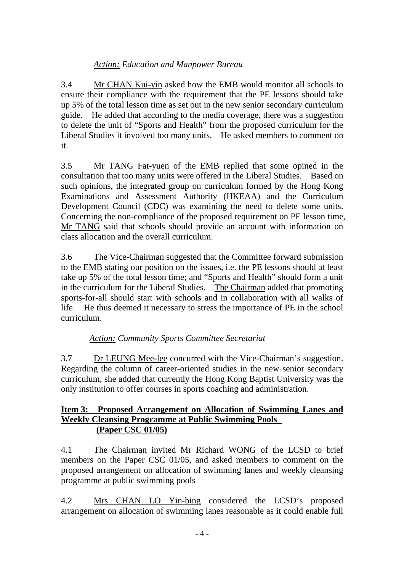## *Action: Education and Manpower Bureau*

3.4 Mr CHAN Kui-yin asked how the EMB would monitor all schools to ensure their compliance with the requirement that the PE lessons should take up 5% of the total lesson time as set out in the new senior secondary curriculum guide. He added that according to the media coverage, there was a suggestion to delete the unit of "Sports and Health" from the proposed curriculum for the Liberal Studies it involved too many units. He asked members to comment on it.

3.5 Mr TANG Fat-yuen of the EMB replied that some opined in the consultation that too many units were offered in the Liberal Studies. Based on such opinions, the integrated group on curriculum formed by the Hong Kong Examinations and Assessment Authority (HKEAA) and the Curriculum Development Council (CDC) was examining the need to delete some units. Concerning the non-compliance of the proposed requirement on PE lesson time, Mr TANG said that schools should provide an account with information on class allocation and the overall curriculum.

3.6 The Vice-Chairman suggested that the Committee forward submission to the EMB stating our position on the issues, i.e. the PE lessons should at least take up 5% of the total lesson time; and "Sports and Health" should form a unit in the curriculum for the Liberal Studies. The Chairman added that promoting sports-for-all should start with schools and in collaboration with all walks of life. He thus deemed it necessary to stress the importance of PE in the school curriculum.

# *Action: Community Sports Committee Secretariat*

3.7 Dr LEUNG Mee-lee concurred with the Vice-Chairman's suggestion. Regarding the column of career-oriented studies in the new senior secondary curriculum, she added that currently the Hong Kong Baptist University was the only institution to offer courses in sports coaching and administration.

## **Item 3: Proposed Arrangement on Allocation of Swimming Lanes and Weekly Cleansing Programme at Public Swimming Pools (Paper CSC 01/05)**

4.1 The Chairman invited Mr Richard WONG of the LCSD to brief members on the Paper CSC 01/05, and asked members to comment on the proposed arrangement on allocation of swimming lanes and weekly cleansing programme at public swimming pools

4.2 Mrs CHAN LO Yin-bing considered the LCSD's proposed arrangement on allocation of swimming lanes reasonable as it could enable full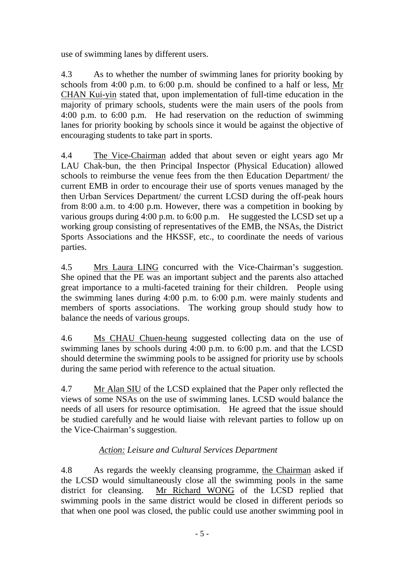use of swimming lanes by different users.

4.3 As to whether the number of swimming lanes for priority booking by schools from 4:00 p.m. to 6:00 p.m. should be confined to a half or less, Mr CHAN Kui-yin stated that, upon implementation of full-time education in the majority of primary schools, students were the main users of the pools from 4:00 p.m. to 6:00 p.m. He had reservation on the reduction of swimming lanes for priority booking by schools since it would be against the objective of encouraging students to take part in sports.

4.4 The Vice-Chairman added that about seven or eight years ago Mr LAU Chak-bun, the then Principal Inspector (Physical Education) allowed schools to reimburse the venue fees from the then Education Department/ the current EMB in order to encourage their use of sports venues managed by the then Urban Services Department/ the current LCSD during the off-peak hours from 8:00 a.m. to 4:00 p.m. However, there was a competition in booking by various groups during 4:00 p.m. to 6:00 p.m. He suggested the LCSD set up a working group consisting of representatives of the EMB, the NSAs, the District Sports Associations and the HKSSF, etc., to coordinate the needs of various parties.

4.5 Mrs Laura LING concurred with the Vice-Chairman's suggestion. She opined that the PE was an important subject and the parents also attached great importance to a multi-faceted training for their children. People using the swimming lanes during 4:00 p.m. to 6:00 p.m. were mainly students and members of sports associations. The working group should study how to balance the needs of various groups.

4.6 Ms CHAU Chuen-heung suggested collecting data on the use of swimming lanes by schools during 4:00 p.m. to 6:00 p.m. and that the LCSD should determine the swimming pools to be assigned for priority use by schools during the same period with reference to the actual situation.

4.7 Mr Alan SIU of the LCSD explained that the Paper only reflected the views of some NSAs on the use of swimming lanes. LCSD would balance the needs of all users for resource optimisation. He agreed that the issue should be studied carefully and he would liaise with relevant parties to follow up on the Vice-Chairman's suggestion.

# *Action: Leisure and Cultural Services Department*

4.8 As regards the weekly cleansing programme, the Chairman asked if the LCSD would simultaneously close all the swimming pools in the same district for cleansing. Mr Richard WONG of the LCSD replied that swimming pools in the same district would be closed in different periods so that when one pool was closed, the public could use another swimming pool in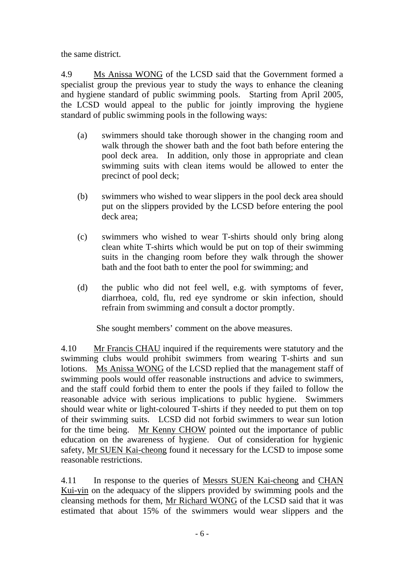the same district.

4.9 Ms Anissa WONG of the LCSD said that the Government formed a specialist group the previous year to study the ways to enhance the cleaning and hygiene standard of public swimming pools. Starting from April 2005, the LCSD would appeal to the public for jointly improving the hygiene standard of public swimming pools in the following ways:

- (a) swimmers should take thorough shower in the changing room and walk through the shower bath and the foot bath before entering the pool deck area. In addition, only those in appropriate and clean swimming suits with clean items would be allowed to enter the precinct of pool deck;
- (b) swimmers who wished to wear slippers in the pool deck area should put on the slippers provided by the LCSD before entering the pool deck area;
- (c) swimmers who wished to wear T-shirts should only bring along clean white T-shirts which would be put on top of their swimming suits in the changing room before they walk through the shower bath and the foot bath to enter the pool for swimming; and
- (d) the public who did not feel well, e.g. with symptoms of fever, diarrhoea, cold, flu, red eye syndrome or skin infection, should refrain from swimming and consult a doctor promptly.

She sought members' comment on the above measures.

4.10 Mr Francis CHAU inquired if the requirements were statutory and the swimming clubs would prohibit swimmers from wearing T-shirts and sun lotions. Ms Anissa WONG of the LCSD replied that the management staff of swimming pools would offer reasonable instructions and advice to swimmers, and the staff could forbid them to enter the pools if they failed to follow the reasonable advice with serious implications to public hygiene. Swimmers should wear white or light-coloured T-shirts if they needed to put them on top of their swimming suits. LCSD did not forbid swimmers to wear sun lotion for the time being. Mr Kenny CHOW pointed out the importance of public education on the awareness of hygiene. Out of consideration for hygienic safety, Mr SUEN Kai-cheong found it necessary for the LCSD to impose some reasonable restrictions.

4.11 In response to the queries of Messrs SUEN Kai-cheong and CHAN Kui-yin on the adequacy of the slippers provided by swimming pools and the cleansing methods for them, Mr Richard WONG of the LCSD said that it was estimated that about 15% of the swimmers would wear slippers and the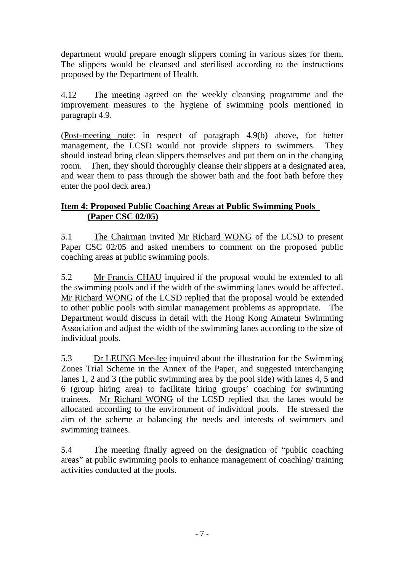department would prepare enough slippers coming in various sizes for them. The slippers would be cleansed and sterilised according to the instructions proposed by the Department of Health.

4.12 The meeting agreed on the weekly cleansing programme and the improvement measures to the hygiene of swimming pools mentioned in paragraph 4.9.

(Post-meeting note: in respect of paragraph 4.9(b) above, for better management, the LCSD would not provide slippers to swimmers. They should instead bring clean slippers themselves and put them on in the changing room. Then, they should thoroughly cleanse their slippers at a designated area, and wear them to pass through the shower bath and the foot bath before they enter the pool deck area.)

## **Item 4: Proposed Public Coaching Areas at Public Swimming Pools (Paper CSC 02/05)**

5.1 The Chairman invited Mr Richard WONG of the LCSD to present Paper CSC 02/05 and asked members to comment on the proposed public coaching areas at public swimming pools.

5.2 Mr Francis CHAU inquired if the proposal would be extended to all the swimming pools and if the width of the swimming lanes would be affected. Mr Richard WONG of the LCSD replied that the proposal would be extended to other public pools with similar management problems as appropriate. The Department would discuss in detail with the Hong Kong Amateur Swimming Association and adjust the width of the swimming lanes according to the size of individual pools.

5.3 Dr LEUNG Mee-lee inquired about the illustration for the Swimming Zones Trial Scheme in the Annex of the Paper, and suggested interchanging lanes 1, 2 and 3 (the public swimming area by the pool side) with lanes 4, 5 and 6 (group hiring area) to facilitate hiring groups' coaching for swimming trainees. Mr Richard WONG of the LCSD replied that the lanes would be allocated according to the environment of individual pools. He stressed the aim of the scheme at balancing the needs and interests of swimmers and swimming trainees.

5.4 The meeting finally agreed on the designation of "public coaching areas" at public swimming pools to enhance management of coaching/ training activities conducted at the pools.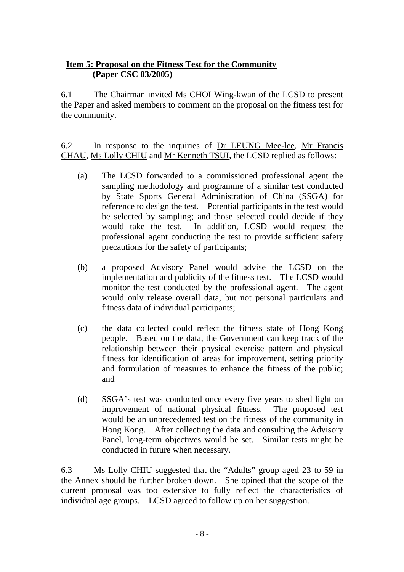## **Item 5: Proposal on the Fitness Test for the Community (Paper CSC 03/2005)**

6.1 The Chairman invited Ms CHOI Wing-kwan of the LCSD to present the Paper and asked members to comment on the proposal on the fitness test for the community.

6.2 In response to the inquiries of Dr LEUNG Mee-lee, Mr Francis CHAU, Ms Lolly CHIU and Mr Kenneth TSUI, the LCSD replied as follows:

- (a) The LCSD forwarded to a commissioned professional agent the sampling methodology and programme of a similar test conducted by State Sports General Administration of China (SSGA) for reference to design the test. Potential participants in the test would be selected by sampling; and those selected could decide if they would take the test. In addition, LCSD would request the professional agent conducting the test to provide sufficient safety precautions for the safety of participants;
- (b) a proposed Advisory Panel would advise the LCSD on the implementation and publicity of the fitness test. The LCSD would monitor the test conducted by the professional agent. The agent would only release overall data, but not personal particulars and fitness data of individual participants;
- (c) the data collected could reflect the fitness state of Hong Kong people. Based on the data, the Government can keep track of the relationship between their physical exercise pattern and physical fitness for identification of areas for improvement, setting priority and formulation of measures to enhance the fitness of the public; and
- (d) SSGA's test was conducted once every five years to shed light on improvement of national physical fitness. The proposed test would be an unprecedented test on the fitness of the community in Hong Kong. After collecting the data and consulting the Advisory Panel, long-term objectives would be set. Similar tests might be conducted in future when necessary.

6.3 Ms Lolly CHIU suggested that the "Adults" group aged 23 to 59 in the Annex should be further broken down. She opined that the scope of the current proposal was too extensive to fully reflect the characteristics of individual age groups. LCSD agreed to follow up on her suggestion.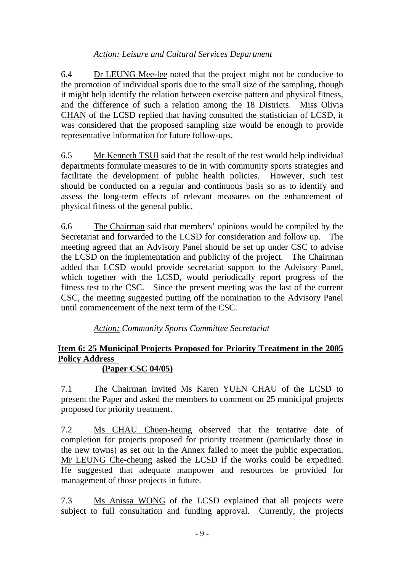## *Action: Leisure and Cultural Services Department*

6.4 Dr LEUNG Mee-lee noted that the project might not be conducive to the promotion of individual sports due to the small size of the sampling, though it might help identify the relation between exercise pattern and physical fitness, and the difference of such a relation among the 18 Districts. Miss Olivia CHAN of the LCSD replied that having consulted the statistician of LCSD, it was considered that the proposed sampling size would be enough to provide representative information for future follow-ups.

6.5 Mr Kenneth TSUI said that the result of the test would help individual departments formulate measures to tie in with community sports strategies and facilitate the development of public health policies. However, such test should be conducted on a regular and continuous basis so as to identify and assess the long-term effects of relevant measures on the enhancement of physical fitness of the general public.

6.6 The Chairman said that members' opinions would be compiled by the Secretariat and forwarded to the LCSD for consideration and follow up. The meeting agreed that an Advisory Panel should be set up under CSC to advise the LCSD on the implementation and publicity of the project. The Chairman added that LCSD would provide secretariat support to the Advisory Panel, which together with the LCSD, would periodically report progress of the fitness test to the CSC. Since the present meeting was the last of the current CSC, the meeting suggested putting off the nomination to the Advisory Panel until commencement of the next term of the CSC.

*Action: Community Sports Committee Secretariat* 

# **Item 6: 25 Municipal Projects Proposed for Priority Treatment in the 2005 Policy Address**

### **(Paper CSC 04/05)**

7.1 The Chairman invited Ms Karen YUEN CHAU of the LCSD to present the Paper and asked the members to comment on 25 municipal projects proposed for priority treatment.

7.2 Ms CHAU Chuen-heung observed that the tentative date of completion for projects proposed for priority treatment (particularly those in the new towns) as set out in the Annex failed to meet the public expectation. Mr LEUNG Che-cheung asked the LCSD if the works could be expedited. He suggested that adequate manpower and resources be provided for management of those projects in future.

7.3 Ms Anissa WONG of the LCSD explained that all projects were subject to full consultation and funding approval. Currently, the projects